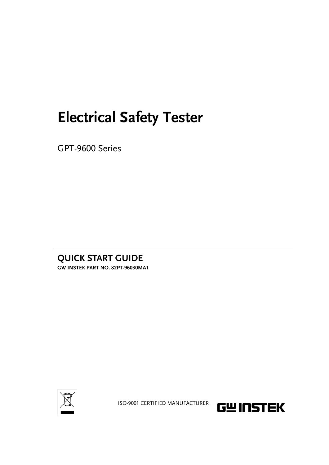## **Electrical Safety Tester**

GPT-9600 Series

**QUICK START GUIDE GW INSTEK PART NO. 82PT-96030MA1**



ISO-9001 CERTIFIED MANUFACTURER

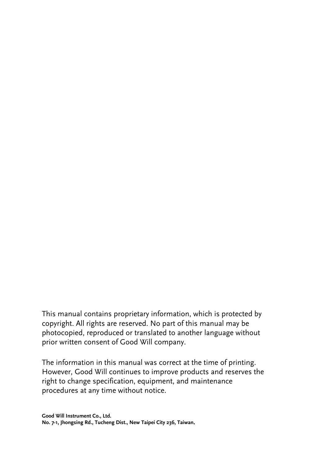This manual contains proprietary information, which is protected by copyright. All rights are reserved. No part of this manual may be photocopied, reproduced or translated to another language without prior written consent of Good Will company.

The information in this manual was correct at the time of printing. However, Good Will continues to improve products and reserves the right to change specification, equipment, and maintenance procedures at any time without notice.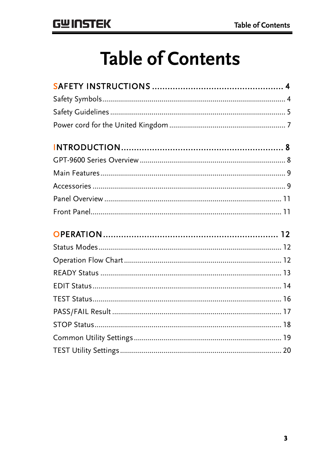## **Table of Contents**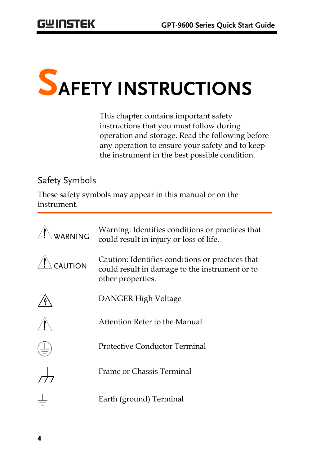# **SAFETY INSTRUCTIONS**

This chapter contains important safety instructions that you must follow during operation and storage. Read the following before any operation to ensure your safety and to keep the instrument in the best possible condition.

#### Safety Symbols

These safety symbols may appear in this manual or on the instrument.

| WARNING | Warning: Identifies conditions or practices that<br>could result in injury or loss of life.                             |
|---------|-------------------------------------------------------------------------------------------------------------------------|
| CAUTION | Caution: Identifies conditions or practices that<br>could result in damage to the instrument or to<br>other properties. |
|         | DANGER High Voltage                                                                                                     |
|         | Attention Refer to the Manual                                                                                           |
|         | Protective Conductor Terminal                                                                                           |
|         | Frame or Chassis Terminal                                                                                               |
|         | Earth (ground) Terminal                                                                                                 |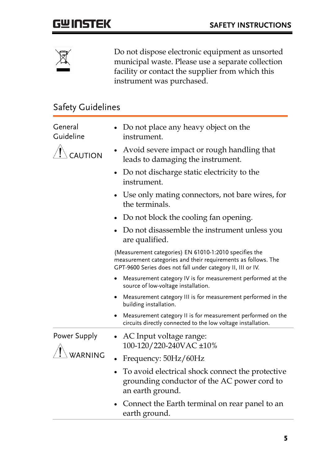

Do not dispose electronic equipment as unsorted municipal waste. Please use a separate collection facility or contact the supplier from which this instrument was purchased.

### Safety Guidelines

| General<br>Guideline    | Do not place any heavy object on the<br>instrument.                                                                                                                                    |
|-------------------------|----------------------------------------------------------------------------------------------------------------------------------------------------------------------------------------|
| <b>AUTION</b>           | Avoid severe impact or rough handling that<br>leads to damaging the instrument.                                                                                                        |
|                         | Do not discharge static electricity to the<br>instrument.                                                                                                                              |
|                         | Use only mating connectors, not bare wires, for<br>the terminals.                                                                                                                      |
|                         | Do not block the cooling fan opening.                                                                                                                                                  |
|                         | Do not disassemble the instrument unless you<br>are qualified.                                                                                                                         |
|                         | (Measurement categories) EN 61010-1:2010 specifies the<br>measurement categories and their requirements as follows. The<br>GPT-9600 Series does not fall under category II, III or IV. |
|                         | Measurement category IV is for measurement performed at the<br>٠<br>source of low-voltage installation.                                                                                |
|                         | Measurement category III is for measurement performed in the<br>٠<br>building installation.                                                                                            |
|                         | Measurement category II is for measurement performed on the<br>circuits directly connected to the low voltage installation.                                                            |
| Power Supply<br>WARNING | AC Input voltage range:<br>٠<br>100-120/220-240VAC ±10%                                                                                                                                |
|                         | Frequency: 50Hz/60Hz                                                                                                                                                                   |
|                         | To avoid electrical shock connect the protective<br>grounding conductor of the AC power cord to<br>an earth ground.                                                                    |
|                         | Connect the Earth terminal on rear panel to an<br>earth ground.                                                                                                                        |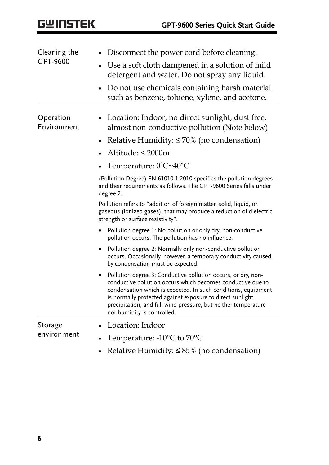| Cleaning the             | Disconnect the power cord before cleaning.                                                                                                                                                                                                                                                                                                                   |  |  |
|--------------------------|--------------------------------------------------------------------------------------------------------------------------------------------------------------------------------------------------------------------------------------------------------------------------------------------------------------------------------------------------------------|--|--|
| GPT-9600                 | Use a soft cloth dampened in a solution of mild<br>detergent and water. Do not spray any liquid.                                                                                                                                                                                                                                                             |  |  |
|                          | Do not use chemicals containing harsh material<br>$\bullet$<br>such as benzene, toluene, xylene, and acetone.                                                                                                                                                                                                                                                |  |  |
| Operation<br>Environment | Location: Indoor, no direct sunlight, dust free,<br>almost non-conductive pollution (Note below)                                                                                                                                                                                                                                                             |  |  |
|                          | Relative Humidity: $\leq 70\%$ (no condensation)                                                                                                                                                                                                                                                                                                             |  |  |
|                          | Altitude: < 2000m                                                                                                                                                                                                                                                                                                                                            |  |  |
|                          | Temperature: $0^{\circ}C \sim 40^{\circ}C$                                                                                                                                                                                                                                                                                                                   |  |  |
|                          | (Pollution Degree) EN 61010-1:2010 specifies the pollution degrees<br>and their requirements as follows. The GPT-9600 Series falls under<br>degree 2.                                                                                                                                                                                                        |  |  |
|                          | Pollution refers to "addition of foreign matter, solid, liquid, or<br>gaseous (ionized gases), that may produce a reduction of dielectric<br>strength or surface resistivity".                                                                                                                                                                               |  |  |
|                          | Pollution degree 1: No pollution or only dry, non-conductive<br>pollution occurs. The pollution has no influence.                                                                                                                                                                                                                                            |  |  |
|                          | Pollution degree 2: Normally only non-conductive pollution<br>occurs. Occasionally, however, a temporary conductivity caused<br>by condensation must be expected.                                                                                                                                                                                            |  |  |
|                          | Pollution degree 3: Conductive pollution occurs, or dry, non-<br>conductive pollution occurs which becomes conductive due to<br>condensation which is expected. In such conditions, equipment<br>is normally protected against exposure to direct sunlight,<br>precipitation, and full wind pressure, but neither temperature<br>nor humidity is controlled. |  |  |
| Storage                  | Location: Indoor                                                                                                                                                                                                                                                                                                                                             |  |  |
| environment              | Temperature: -10°C to 70°C                                                                                                                                                                                                                                                                                                                                   |  |  |
|                          | Relative Humidity: $\leq 85\%$ (no condensation)                                                                                                                                                                                                                                                                                                             |  |  |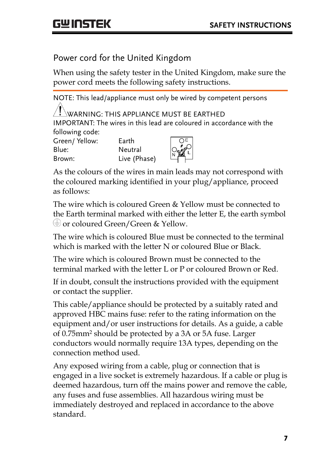#### Power cord for the United Kingdom

When using the safety tester in the United Kingdom, make sure the power cord meets the following safety instructions.

NOTE: This lead/appliance must only be wired by competent persons  $^{\prime}!$  \warning: This appliance must be earthed IMPORTANT: The wires in this lead are coloured in accordance with the following code: Green/ Yellow: Earth Blue: Neutral Brown: Live (Phase)

As the colours of the wires in main leads may not correspond with the coloured marking identified in your plug/appliance, proceed as follows:

The wire which is coloured Green & Yellow must be connected to the Earth terminal marked with either the letter E, the earth symbol or coloured Green/Green & Yellow.

The wire which is coloured Blue must be connected to the terminal which is marked with the letter N or coloured Blue or Black.

The wire which is coloured Brown must be connected to the terminal marked with the letter L or P or coloured Brown or Red.

If in doubt, consult the instructions provided with the equipment or contact the supplier.

This cable/appliance should be protected by a suitably rated and approved HBC mains fuse: refer to the rating information on the equipment and/or user instructions for details. As a guide, a cable of 0.75mm<sup>2</sup> should be protected by a 3A or 5A fuse. Larger conductors would normally require 13A types, depending on the connection method used.

Any exposed wiring from a cable, plug or connection that is engaged in a live socket is extremely hazardous. If a cable or plug is deemed hazardous, turn off the mains power and remove the cable, any fuses and fuse assemblies. All hazardous wiring must be immediately destroyed and replaced in accordance to the above standard.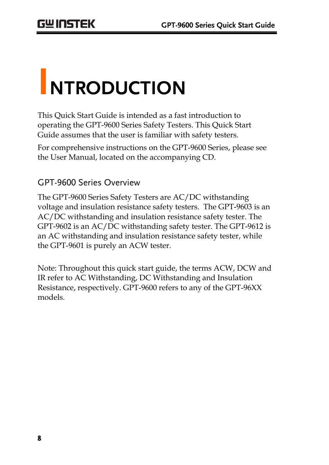## **INTRODUCTION**

This Quick Start Guide is intended as a fast introduction to operating the GPT-9600 Series Safety Testers. This Quick Start Guide assumes that the user is familiar with safety testers.

For comprehensive instructions on the GPT-9600 Series, please see the User Manual, located on the accompanying CD.

#### GPT-9600 Series Overview

The GPT-9600 Series Safety Testers are AC/DC withstanding voltage and insulation resistance safety testers. The GPT-9603 is an AC/DC withstanding and insulation resistance safety tester. The GPT-9602 is an AC/DC withstanding safety tester. The GPT-9612 is an AC withstanding and insulation resistance safety tester, while the GPT-9601 is purely an ACW tester.

Note: Throughout this quick start guide, the terms ACW, DCW and IR refer to AC Withstanding, DC Withstanding and Insulation Resistance, respectively. GPT-9600 refers to any of the GPT-96XX models.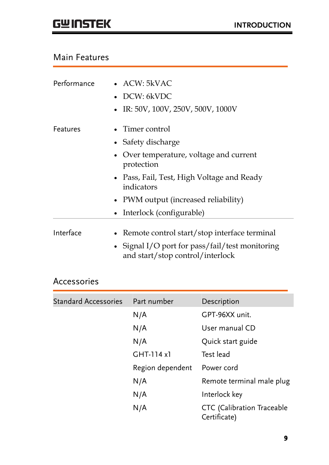#### Main Features

| Performance | • $ACW: 5kVAC$                                                                      |
|-------------|-------------------------------------------------------------------------------------|
|             | • DCW: $6kVDC$                                                                      |
|             | IR: 50V, 100V, 250V, 500V, 1000V<br>$\bullet$                                       |
| Features    | Timer control                                                                       |
|             | • Safety discharge                                                                  |
|             | • Over temperature, voltage and current<br>protection                               |
|             | • Pass, Fail, Test, High Voltage and Ready<br>indicators                            |
|             | • PWM output (increased reliability)                                                |
|             | Interlock (configurable)<br>٠                                                       |
| Interface   | • Remote control start/stop interface terminal                                      |
|             | • Signal I/O port for pass/fail/test monitoring<br>and start/stop control/interlock |

#### Accessories

| <b>Standard Accessories</b> | Part number      | Description                                |
|-----------------------------|------------------|--------------------------------------------|
|                             | N/A              | GPT-96XX unit.                             |
|                             | N/A              | User manual CD                             |
|                             | N/A              | Quick start guide                          |
|                             | $GHT-114x1$      | Test lead                                  |
|                             | Region dependent | Power cord                                 |
|                             | N/A              | Remote terminal male plug                  |
|                             | N/A              | Interlock key                              |
|                             | N/A              | CTC (Calibration Traceable<br>Certificate) |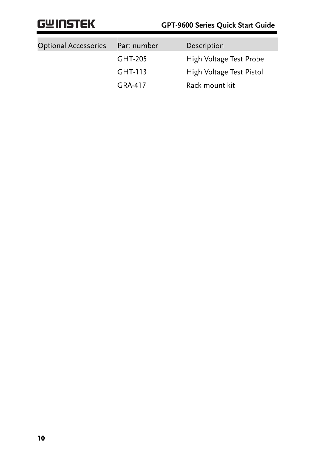| <b>Optional Accessories</b> | Part number | Description              |
|-----------------------------|-------------|--------------------------|
|                             | GHT-205     | High Voltage Test Probe  |
|                             | GHT-113     | High Voltage Test Pistol |
|                             | GRA-417     | Rack mount kit           |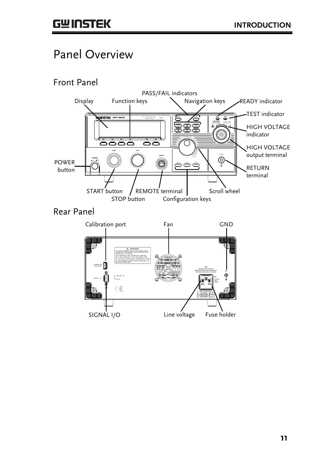## Panel Overview



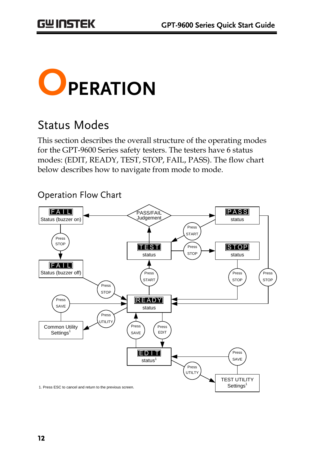

## Status Modes

This section describes the overall structure of the operating modes for the GPT-9600 Series safety testers. The testers have 6 status modes: (EDIT, READY, TEST, STOP, FAIL, PASS). The flow chart below describes how to navigate from mode to mode.



Operation Flow Chart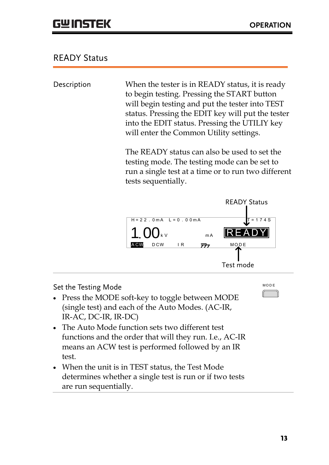#### READY Status

Description When the tester is in READY status, it is ready to begin testing. Pressing the START button will begin testing and put the tester into TEST status. Pressing the EDIT key will put the tester into the EDIT status. Pressing the UTILIY key will enter the Common Utility settings.

> The READY status can also be used to set the testing mode. The testing mode can be set to run a single test at a time or to run two different tests sequentially.



Set the Testing Mode

- Press the MODE soft-key to toggle between MODE (single test) and each of the Auto Modes. (AC-IR, IR-AC, DC-IR, IR-DC)
- The Auto Mode function sets two different test functions and the order that will they run. I.e., AC-IR means an ACW test is performed followed by an IR test.
- When the unit is in TEST status, the Test Mode determines whether a single test is run or if two tests are run sequentially.

 $M$  O D E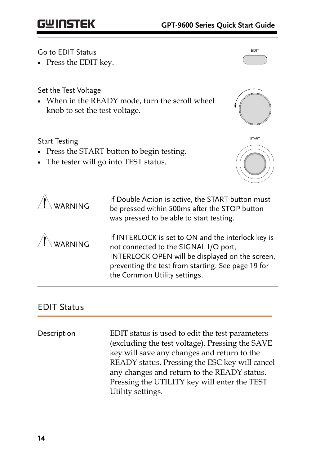## **GWINSTEK**

Go to EDIT Status

• Press the EDIT key.

EDIT

Set the Test Voltage

 When in the READY mode, turn the scroll wheel knob to set the test voltage.

#### Start Testing

- Press the START button to begin testing.
- The tester will go into TEST status.



| WARNING            | If Double Action is active, the START button must<br>be pressed within 500ms after the STOP button<br>was pressed to be able to start testing.                                                                                       |
|--------------------|--------------------------------------------------------------------------------------------------------------------------------------------------------------------------------------------------------------------------------------|
| $\sqrt{!}$ WARNING | If INTERLOCK is set to ON and the interlock key is<br>not connected to the SIGNAL I/O port,<br>INTERLOCK OPEN will be displayed on the screen,<br>preventing the test from starting. See page 19 for<br>the Common Utility settings. |

#### EDIT Status

Description EDIT status is used to edit the test parameters (excluding the test voltage). Pressing the SAVE key will save any changes and return to the READY status. Pressing the ESC key will cancel any changes and return to the READY status. Pressing the UTILITY key will enter the TEST Utility settings.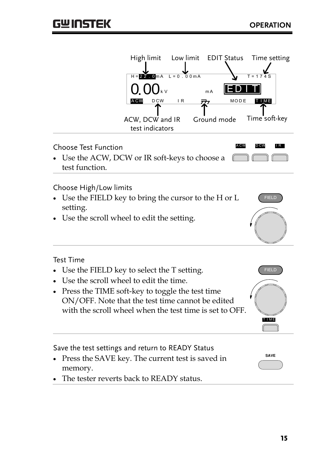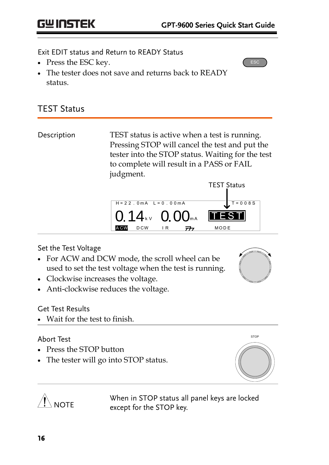ESC

Exit EDIT status and Return to READY Status

- Press the ESC key.
- The tester does not save and returns back to READY status.

#### TEST Status

Description TEST status is active when a test is running. Pressing STOP will cancel the test and put the tester into the STOP status. Waiting for the test to complete will result in a PASS or FAIL judgment.



#### Set the Test Voltage

- For ACW and DCW mode, the scroll wheel can be used to set the test voltage when the test is running.
- Clockwise increases the voltage.
- Anti-clockwise reduces the voltage.

#### Get Test Results

**NOTE** 

Wait for the test to finish.

#### Abort Test

- Press the STOP button
- The tester will go into STOP status.



When in STOP status all panel keys are locked except for the STOP key.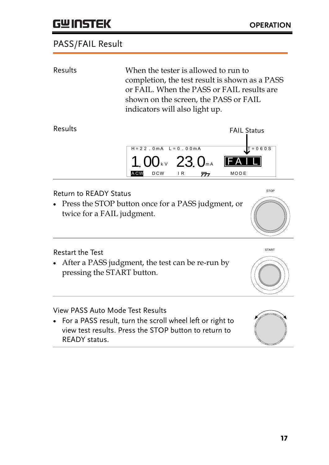## **GWINSTEK**

#### PASS/FAIL Result

| Results                                                     | When the tester is allowed to run to<br>completion, the test result is shown as a PASS<br>or FAIL. When the PASS or FAIL results are<br>shown on the screen, the PASS or FAIL<br>indicators will also light up. |                                          |
|-------------------------------------------------------------|-----------------------------------------------------------------------------------------------------------------------------------------------------------------------------------------------------------------|------------------------------------------|
| Results                                                     | $H = 22.0mA$ $L = 0.00mA$<br>1.00 kv 23.0 mA<br><b>DCW</b><br>IR<br><b>ACW</b><br><del>,∧</del>                                                                                                                 | <b>FAIL Status</b><br>$T = 060S$<br>MODE |
| <b>Return to READY Status</b><br>twice for a FAIL judgment. | • Press the STOP button once for a PASS judgment, or                                                                                                                                                            | <b>STOP</b>                              |

Restart the Test

 After a PASS judgment, the test can be re-run by pressing the START button.

View PASS Auto Mode Test Results

 For a PASS result, turn the scroll wheel left or right to view test results. Press the STOP button to return to READY status.



START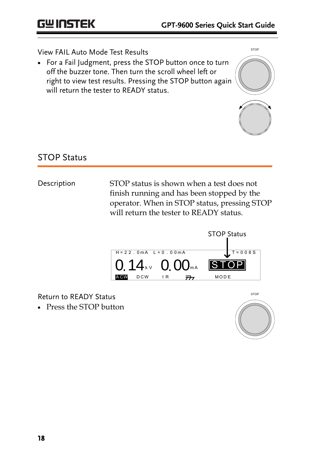#### View FAIL Auto Mode Test Results

• For a Fail Judgment, press the STOP button once to turn off the buzzer tone. Then turn the scroll wheel left or right to view test results. Pressing the STOP button again will return the tester to READY status.



#### STOP Status

Description STOP status is shown when a test does not finish running and has been stopped by the operator. When in STOP status, pressing STOP will return the tester to READY status.



Return to READY Status

Press the STOP button

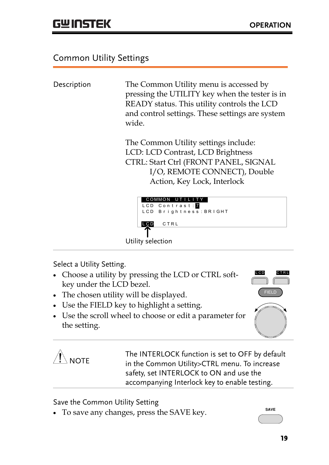#### <span id="page-18-0"></span>Common Utility Settings

Description The Common Utility menu is accessed by pressing the UTILITY key when the tester is in READY status. This utility controls the LCD and control settings. These settings are system wide.

> The Common Utility settings include: LCD: LCD Contrast, LCD Brightness CTRL: Start Ctrl (FRONT PANEL, SIGNAL I/O, REMOTE CONNECT), Double Action, Key Lock, Interlock



Select a Utility Setting.

- Choose a utility by pressing the LCD or CTRL softkey under the LCD bezel.
- The chosen utility will be displayed.
- Use the FIELD key to highlight a setting.
- Use the scroll wheel to choose or edit a parameter for the setting.





The INTERLOCK function is set to OFF by default in the Common Utility>CTRL menu. To increase safety, set INTERLOCK to ON and use the accompanying Interlock key to enable testing.

Save the Common Utility Setting

• To save any changes, press the SAVE key.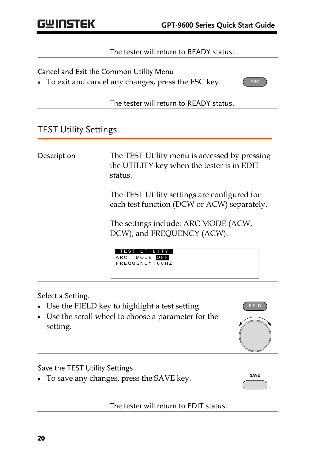#### The tester will return to READY status.

Cancel and Exit the Common Utility Menu

To exit and cancel any changes, press the ESC key.



The tester will return to READY status.

#### TEST Utility Settings

| Description | The TEST Utility menu is accessed by pressing<br>the UTILITY key when the tester is in EDIT<br>status. |
|-------------|--------------------------------------------------------------------------------------------------------|
|             | The TEST Utility settings are configured for<br>each test function (DCW or ACW) separately.            |
|             | The settings include: ARC MODE (ACW,<br>DCW), and FREQUENCY (ACW).                                     |
|             | TEST<br>UTILTTY<br>ARC MODE: OFF<br>FREQUENCY: 60HZ                                                    |
|             |                                                                                                        |

#### Select a Setting.

- Use the FIELD key to highlight a test setting.
- Use the scroll wheel to choose a parameter for the setting.

Save the TEST Utility Settings

To save any changes, press the SAVE key.

**SAVE**

The tester will return to EDIT status.